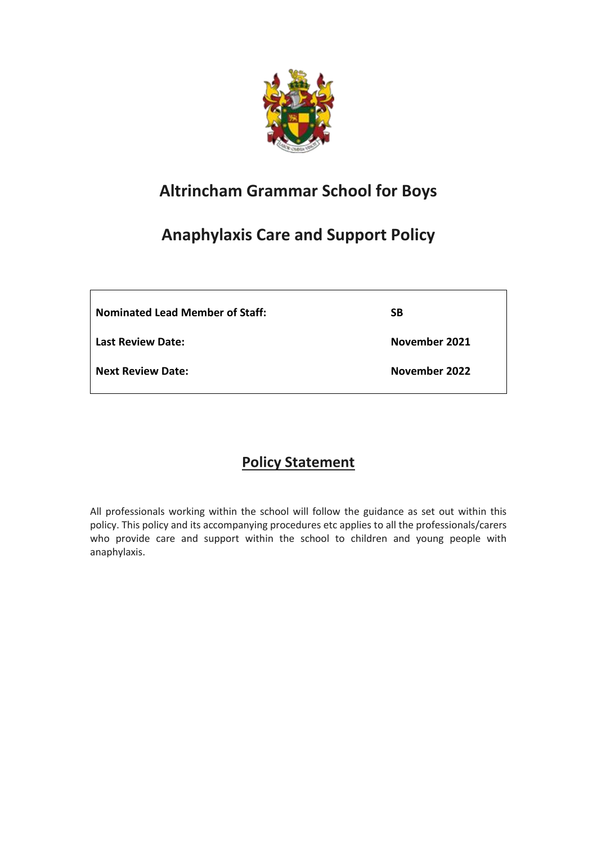

# **Altrincham Grammar School for Boys**

# **Anaphylaxis Care and Support Policy**

**Nominated Lead Member of Staff:**

**Last Review Date:**

**Next Review Date:**

**November 2021**

**SB**

**November 2022**

# **Policy Statement**

All professionals working within the school will follow the guidance as set out within this policy. This policy and its accompanying procedures etc applies to all the professionals/carers who provide care and support within the school to children and young people with anaphylaxis.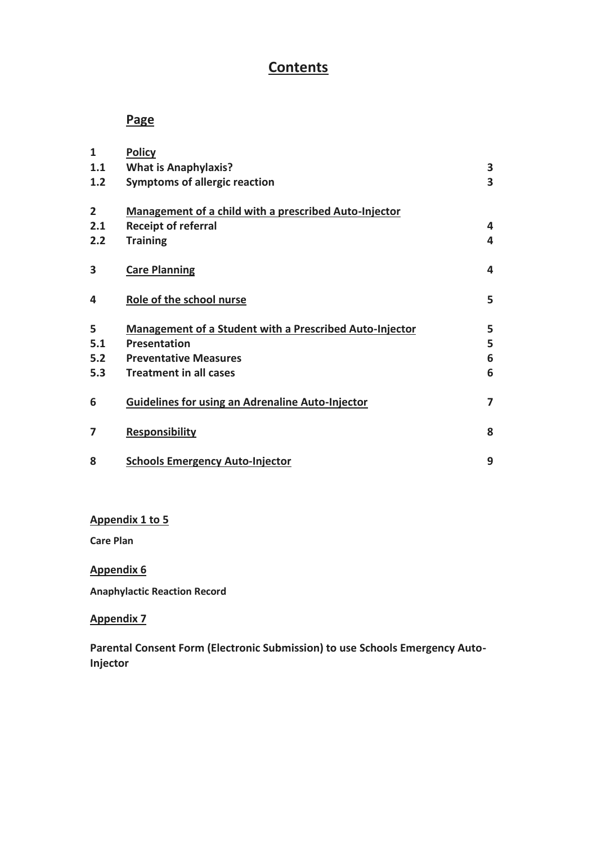# **Contents**

# **Page**

| $\mathbf{1}$   | <b>Policy</b>                                                  |   |
|----------------|----------------------------------------------------------------|---|
| 1.1            | <b>What is Anaphylaxis?</b>                                    | 3 |
| 1.2            | <b>Symptoms of allergic reaction</b>                           | 3 |
| $\overline{2}$ | Management of a child with a prescribed Auto-Injector          |   |
| 2.1            | <b>Receipt of referral</b>                                     | 4 |
| 2.2            | <b>Training</b>                                                | 4 |
| 3              | <b>Care Planning</b>                                           | 4 |
| 4              | Role of the school nurse                                       | 5 |
| 5              | <b>Management of a Student with a Prescribed Auto-Injector</b> | 5 |
| 5.1            | Presentation                                                   | 5 |
| 5.2            | <b>Preventative Measures</b>                                   | 6 |
| 5.3            | <b>Treatment in all cases</b>                                  | 6 |
| 6              | <b>Guidelines for using an Adrenaline Auto-Injector</b>        | 7 |
| 7              | <b>Responsibility</b>                                          | 8 |
| 8              | <b>Schools Emergency Auto-Injector</b>                         | 9 |

#### **Appendix 1 to 5**

**Care Plan**

### **Appendix 6**

**Anaphylactic Reaction Record**

#### **Appendix 7**

**Parental Consent Form (Electronic Submission) to use Schools Emergency Auto-Injector**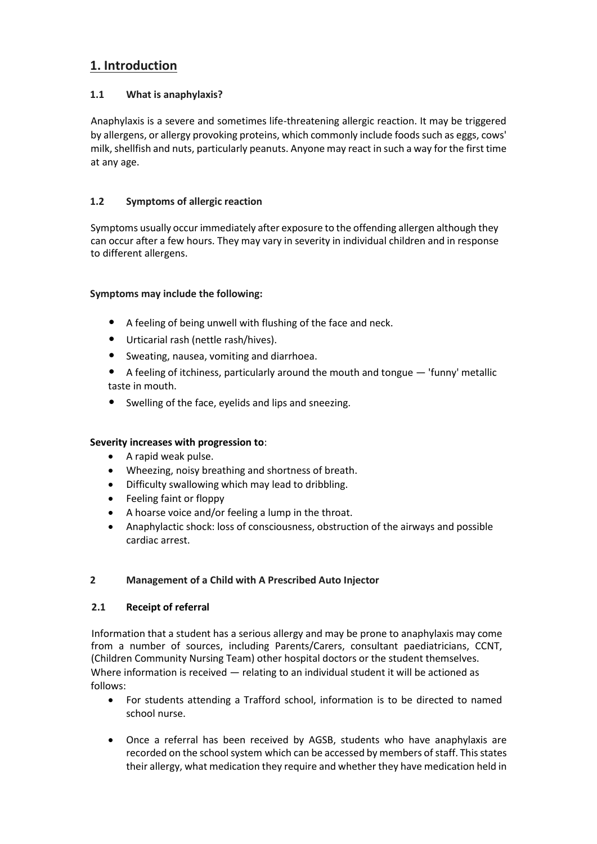## **1. Introduction**

#### **1.1 What is anaphylaxis?**

Anaphylaxis is a severe and sometimes life-threatening allergic reaction. It may be triggered by allergens, or allergy provoking proteins, which commonly include foods such as eggs, cows' milk, shellfish and nuts, particularly peanuts. Anyone may react in such a way for the first time at any age.

#### **1.2 Symptoms of allergic reaction**

Symptoms usually occur immediately after exposure to the offending allergen although they can occur after a few hours. They may vary in severity in individual children and in response to different allergens.

#### **Symptoms may include the following:**

- A feeling of being unwell with flushing of the face and neck.
- Urticarial rash (nettle rash/hives).
- Sweating, nausea, vomiting and diarrhoea.
- A feeling of itchiness, particularly around the mouth and tongue 'funny' metallic taste in mouth.
- Swelling of the face, eyelids and lips and sneezing.

#### **Severity increases with progression to**:

- A rapid weak pulse.
- Wheezing, noisy breathing and shortness of breath.
- Difficulty swallowing which may lead to dribbling.
- Feeling faint or floppy
- A hoarse voice and/or feeling a lump in the throat.
- Anaphylactic shock: loss of consciousness, obstruction of the airways and possible cardiac arrest.

#### **2 Management of a Child with A Prescribed Auto Injector**

#### **2.1 Receipt of referral**

Information that a student has a serious allergy and may be prone to anaphylaxis may come from a number of sources, including Parents/Carers, consultant paediatricians, CCNT, (Children Community Nursing Team) other hospital doctors or the student themselves. Where information is received — relating to an individual student it will be actioned as follows:

- For students attending a Trafford school, information is to be directed to named school nurse.
- Once a referral has been received by AGSB, students who have anaphylaxis are recorded on the school system which can be accessed by members of staff. This states their allergy, what medication they require and whether they have medication held in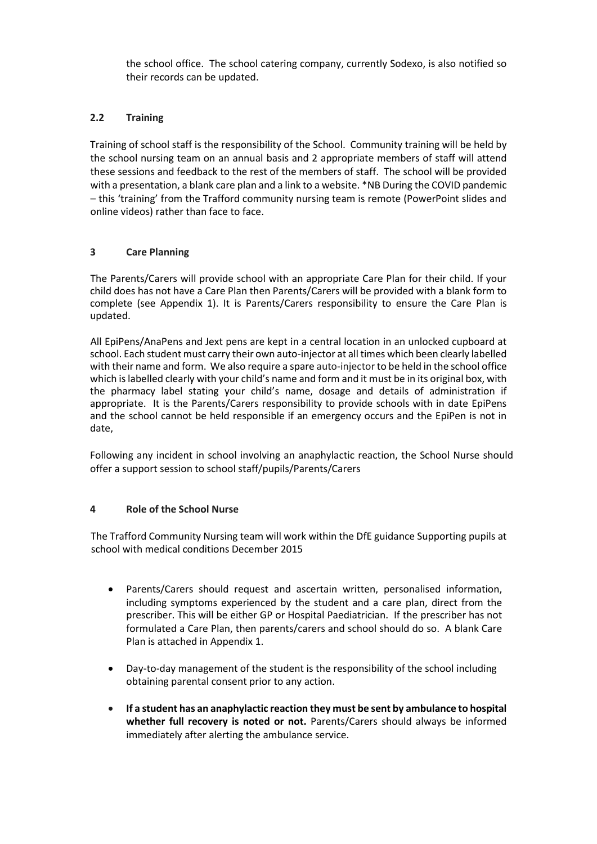the school office. The school catering company, currently Sodexo, is also notified so their records can be updated.

#### **2.2 Training**

Training of school staff is the responsibility of the School. Community training will be held by the school nursing team on an annual basis and 2 appropriate members of staff will attend these sessions and feedback to the rest of the members of staff. The school will be provided with a presentation, a blank care plan and a link to a website. \*NB During the COVID pandemic – this 'training' from the Trafford community nursing team is remote (PowerPoint slides and online videos) rather than face to face.

#### **3 Care Planning**

The Parents/Carers will provide school with an appropriate Care Plan for their child. If your child does has not have a Care Plan then Parents/Carers will be provided with a blank form to complete (see Appendix 1). It is Parents/Carers responsibility to ensure the Care Plan is updated.

All EpiPens/AnaPens and Jext pens are kept in a central location in an unlocked cupboard at school. Each student must carry their own auto-injector at all times which been clearly labelled with their name and form. We also require a spare auto-injectorto be held in the school office which is labelled clearly with your child's name and form and it must be in its original box, with the pharmacy label stating your child's name, dosage and details of administration if appropriate. It is the Parents/Carers responsibility to provide schools with in date EpiPens and the school cannot be held responsible if an emergency occurs and the EpiPen is not in date,

Following any incident in school involving an anaphylactic reaction, the School Nurse should offer a support session to school staff/pupils/Parents/Carers

#### **4 Role of the School Nurse**

The Trafford Community Nursing team will work within the DfE guidance Supporting pupils at school with medical conditions December 2015

- Parents/Carers should request and ascertain written, personalised information, including symptoms experienced by the student and a care plan, direct from the prescriber. This will be either GP or Hospital Paediatrician. If the prescriber has not formulated a Care Plan, then parents/carers and school should do so. A blank Care Plan is attached in Appendix 1.
- Day-to-day management of the student is the responsibility of the school including obtaining parental consent prior to any action.
- **If a student has an anaphylactic reaction they must be sent by ambulance to hospital whether full recovery is noted or not.** Parents/Carers should always be informed immediately after alerting the ambulance service.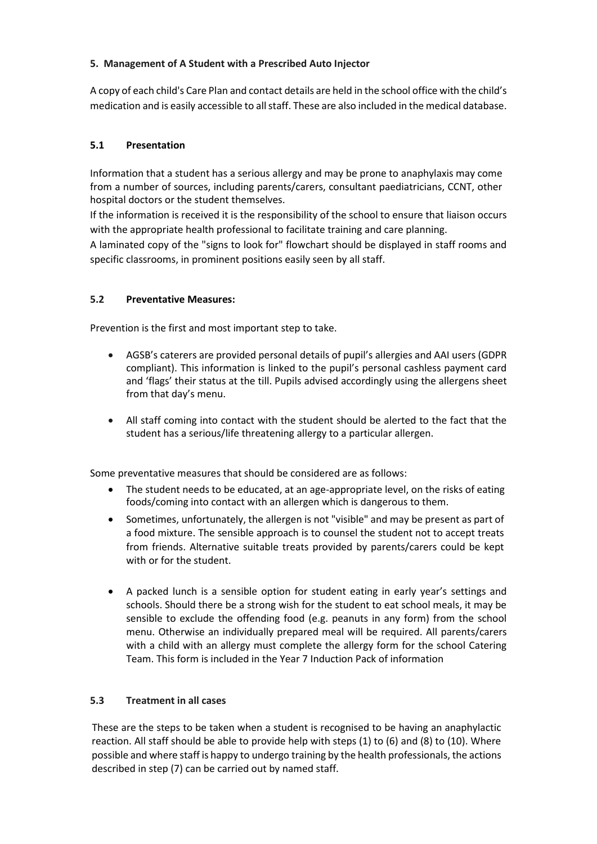#### **5. Management of A Student with a Prescribed Auto Injector**

A copy of each child's Care Plan and contact details are held in the school office with the child's medication and is easily accessible to all staff. These are also included in the medical database.

#### **5.1 Presentation**

Information that a student has a serious allergy and may be prone to anaphylaxis may come from a number of sources, including parents/carers, consultant paediatricians, CCNT, other hospital doctors or the student themselves.

If the information is received it is the responsibility of the school to ensure that liaison occurs with the appropriate health professional to facilitate training and care planning.

A laminated copy of the "signs to look for" flowchart should be displayed in staff rooms and specific classrooms, in prominent positions easily seen by all staff.

#### **5.2 Preventative Measures:**

Prevention is the first and most important step to take.

- AGSB's caterers are provided personal details of pupil's allergies and AAI users (GDPR compliant). This information is linked to the pupil's personal cashless payment card and 'flags' their status at the till. Pupils advised accordingly using the allergens sheet from that day's menu.
- All staff coming into contact with the student should be alerted to the fact that the student has a serious/life threatening allergy to a particular allergen.

Some preventative measures that should be considered are as follows:

- The student needs to be educated, at an age-appropriate level, on the risks of eating foods/coming into contact with an allergen which is dangerous to them.
- Sometimes, unfortunately, the allergen is not "visible" and may be present as part of a food mixture. The sensible approach is to counsel the student not to accept treats from friends. Alternative suitable treats provided by parents/carers could be kept with or for the student.
- A packed lunch is a sensible option for student eating in early year's settings and schools. Should there be a strong wish for the student to eat school meals, it may be sensible to exclude the offending food (e.g. peanuts in any form) from the school menu. Otherwise an individually prepared meal will be required. All parents/carers with a child with an allergy must complete the allergy form for the school Catering Team. This form is included in the Year 7 Induction Pack of information

#### **5.3 Treatment in all cases**

These are the steps to be taken when a student is recognised to be having an anaphylactic reaction. All staff should be able to provide help with steps (1) to (6) and (8) to (10). Where possible and where staff is happy to undergo training by the health professionals, the actions described in step (7) can be carried out by named staff.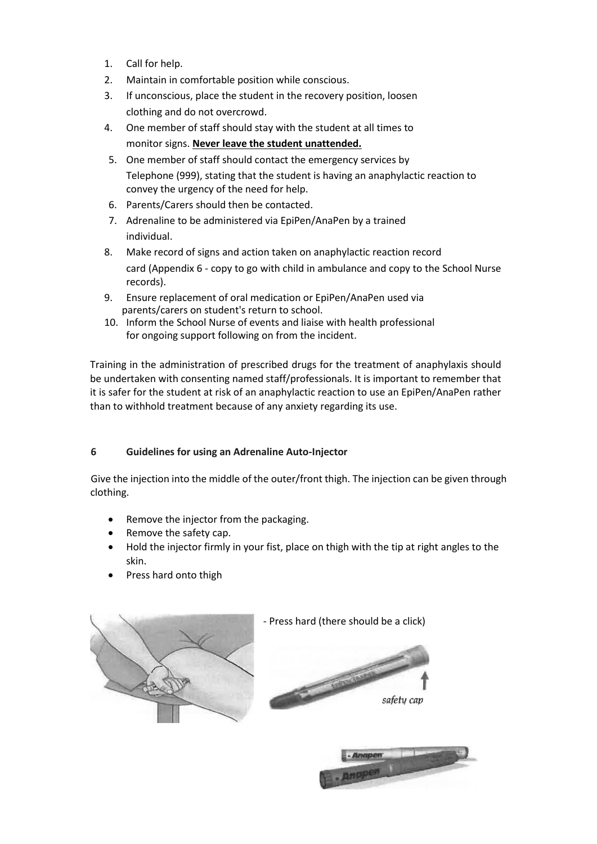- 1. Call for help.
- 2. Maintain in comfortable position while conscious.
- 3. If unconscious, place the student in the recovery position, loosen clothing and do not overcrowd.
- 4. One member of staff should stay with the student at all times to monitor signs. **Never leave the student unattended.**
- 5. One member of staff should contact the emergency services by Telephone (999), stating that the student is having an anaphylactic reaction to convey the urgency of the need for help.
- 6. Parents/Carers should then be contacted.
- 7. Adrenaline to be administered via EpiPen/AnaPen by a trained individual.
- 8. Make record of signs and action taken on anaphylactic reaction record card (Appendix 6 - copy to go with child in ambulance and copy to the School Nurse records).
- 9. Ensure replacement of oral medication or EpiPen/AnaPen used via parents/carers on student's return to school.
- 10. Inform the School Nurse of events and liaise with health professional for ongoing support following on from the incident.

Training in the administration of prescribed drugs for the treatment of anaphylaxis should be undertaken with consenting named staff/professionals. It is important to remember that it is safer for the student at risk of an anaphylactic reaction to use an EpiPen/AnaPen rather than to withhold treatment because of any anxiety regarding its use.

#### **6 Guidelines for using an Adrenaline Auto-Injector**

Give the injection into the middle of the outer/front thigh. The injection can be given through clothing.

- Remove the injector from the packaging.
- Remove the safety cap.
- Hold the injector firmly in your fist, place on thigh with the tip at right angles to the skin.
- Press hard onto thigh



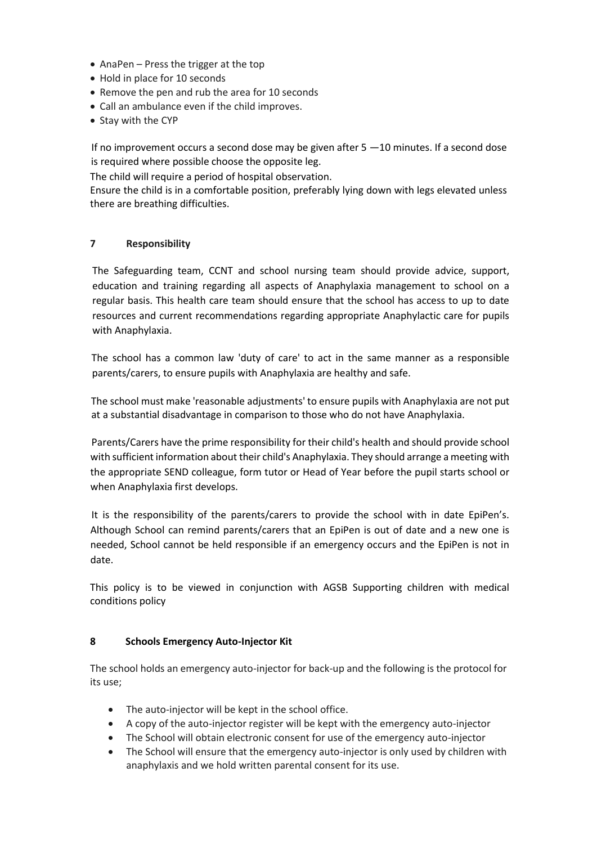- AnaPen Press the trigger at the top
- Hold in place for 10 seconds
- Remove the pen and rub the area for 10 seconds
- Call an ambulance even if the child improves.
- Stay with the CYP

If no improvement occurs a second dose may be given after 5 —10 minutes. If a second dose is required where possible choose the opposite leg.

The child will require a period of hospital observation.

Ensure the child is in a comfortable position, preferably lying down with legs elevated unless there are breathing difficulties.

#### **7 Responsibility**

The Safeguarding team, CCNT and school nursing team should provide advice, support, education and training regarding all aspects of Anaphylaxia management to school on a regular basis. This health care team should ensure that the school has access to up to date resources and current recommendations regarding appropriate Anaphylactic care for pupils with Anaphylaxia.

The school has a common law 'duty of care' to act in the same manner as a responsible parents/carers, to ensure pupils with Anaphylaxia are healthy and safe.

The school must make 'reasonable adjustments' to ensure pupils with Anaphylaxia are not put at a substantial disadvantage in comparison to those who do not have Anaphylaxia.

Parents/Carers have the prime responsibility for their child's health and should provide school with sufficient information about their child's Anaphylaxia. They should arrange a meeting with the appropriate SEND colleague, form tutor or Head of Year before the pupil starts school or when Anaphylaxia first develops.

It is the responsibility of the parents/carers to provide the school with in date EpiPen's. Although School can remind parents/carers that an EpiPen is out of date and a new one is needed, School cannot be held responsible if an emergency occurs and the EpiPen is not in date.

This policy is to be viewed in conjunction with AGSB Supporting children with medical conditions policy

#### **8 Schools Emergency Auto-Injector Kit**

The school holds an emergency auto-injector for back-up and the following is the protocol for its use;

- The auto-injector will be kept in the school office.
- A copy of the auto-injector register will be kept with the emergency auto-injector
- The School will obtain electronic consent for use of the emergency auto-injector
- The School will ensure that the emergency auto-injector is only used by children with anaphylaxis and we hold written parental consent for its use.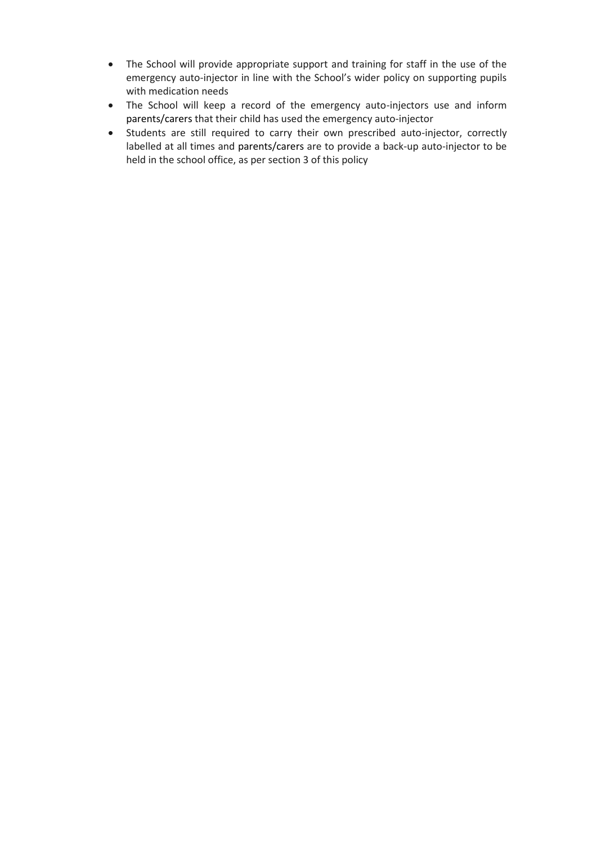- The School will provide appropriate support and training for staff in the use of the emergency auto-injector in line with the School's wider policy on supporting pupils with medication needs
- The School will keep a record of the emergency auto-injectors use and inform parents/carers that their child has used the emergency auto-injector
- Students are still required to carry their own prescribed auto-injector, correctly labelled at all times and parents/carers are to provide a back-up auto-injector to be held in the school office, as per section 3 of this policy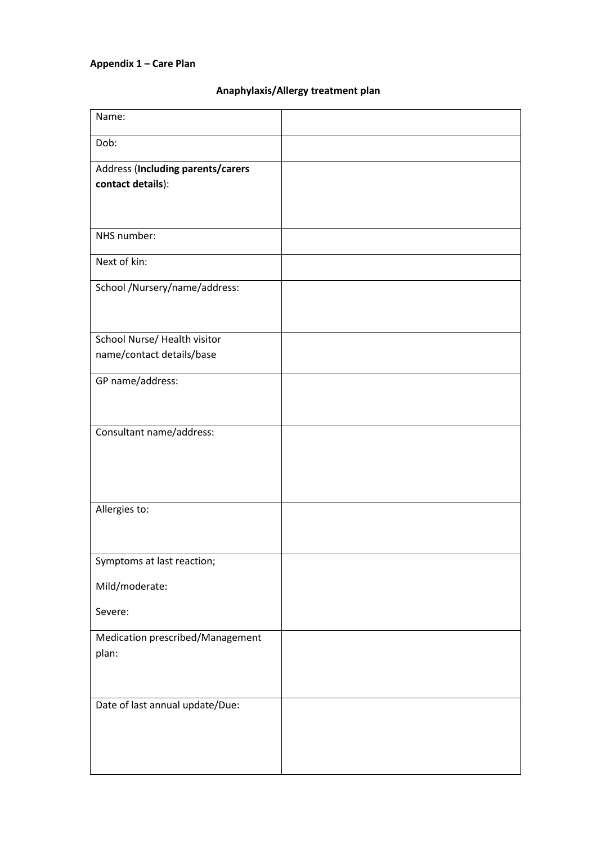## **Appendix 1 – Care Plan**

#### **Anaphylaxis/Allergy treatment plan**

| Name:                             |  |
|-----------------------------------|--|
| Dob:                              |  |
| Address (Including parents/carers |  |
| contact details):                 |  |
|                                   |  |
| NHS number:                       |  |
| Next of kin:                      |  |
| School /Nursery/name/address:     |  |
|                                   |  |
| School Nurse/ Health visitor      |  |
| name/contact details/base         |  |
| GP name/address:                  |  |
|                                   |  |
| Consultant name/address:          |  |
|                                   |  |
|                                   |  |
| Allergies to:                     |  |
|                                   |  |
|                                   |  |
| Symptoms at last reaction;        |  |
| Mild/moderate:                    |  |
| Severe:                           |  |
| Medication prescribed/Management  |  |
| plan:                             |  |
|                                   |  |
| Date of last annual update/Due:   |  |
|                                   |  |
|                                   |  |
|                                   |  |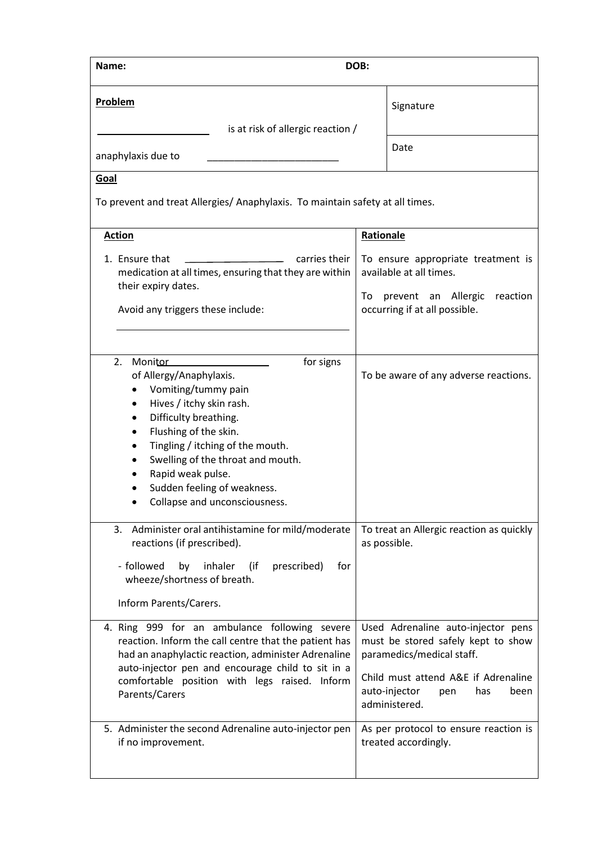| Name:                                                                                                                                                                                                                                                                                                                                                                    |           | DOB:                                                                                                                                                                                                 |  |
|--------------------------------------------------------------------------------------------------------------------------------------------------------------------------------------------------------------------------------------------------------------------------------------------------------------------------------------------------------------------------|-----------|------------------------------------------------------------------------------------------------------------------------------------------------------------------------------------------------------|--|
| <b>Problem</b>                                                                                                                                                                                                                                                                                                                                                           |           | Signature                                                                                                                                                                                            |  |
| is at risk of allergic reaction /<br>anaphylaxis due to                                                                                                                                                                                                                                                                                                                  |           | Date                                                                                                                                                                                                 |  |
| Goal                                                                                                                                                                                                                                                                                                                                                                     |           |                                                                                                                                                                                                      |  |
| To prevent and treat Allergies/ Anaphylaxis. To maintain safety at all times.                                                                                                                                                                                                                                                                                            |           |                                                                                                                                                                                                      |  |
| <b>Action</b>                                                                                                                                                                                                                                                                                                                                                            | Rationale |                                                                                                                                                                                                      |  |
| 1. Ensure that<br>carries their<br>medication at all times, ensuring that they are within<br>their expiry dates.<br>Avoid any triggers these include:                                                                                                                                                                                                                    |           | To ensure appropriate treatment is<br>available at all times.<br>prevent an Allergic<br>reaction<br>To<br>occurring if at all possible.                                                              |  |
| for signs<br>2.<br><b>Monitor</b><br>of Allergy/Anaphylaxis.<br>Vomiting/tummy pain<br>$\bullet$<br>Hives / itchy skin rash.<br>٠<br>Difficulty breathing.<br>٠<br>Flushing of the skin.<br>$\bullet$<br>Tingling / itching of the mouth.<br>٠<br>Swelling of the throat and mouth.<br>Rapid weak pulse.<br>Sudden feeling of weakness.<br>Collapse and unconsciousness. |           | To be aware of any adverse reactions.                                                                                                                                                                |  |
| Administer oral antihistamine for mild/moderate<br>3.<br>reactions (if prescribed).<br>- followed<br>by<br>inhaler<br>prescribed)<br>for<br>(if<br>wheeze/shortness of breath.<br>Inform Parents/Carers.                                                                                                                                                                 |           | To treat an Allergic reaction as quickly<br>as possible.                                                                                                                                             |  |
| 4. Ring 999 for an ambulance following severe<br>reaction. Inform the call centre that the patient has<br>had an anaphylactic reaction, administer Adrenaline<br>auto-injector pen and encourage child to sit in a<br>comfortable position with legs raised. Inform<br>Parents/Carers                                                                                    |           | Used Adrenaline auto-injector pens<br>must be stored safely kept to show<br>paramedics/medical staff.<br>Child must attend A&E if Adrenaline<br>auto-injector<br>been<br>pen<br>has<br>administered. |  |
| 5. Administer the second Adrenaline auto-injector pen<br>if no improvement.                                                                                                                                                                                                                                                                                              |           | As per protocol to ensure reaction is<br>treated accordingly.                                                                                                                                        |  |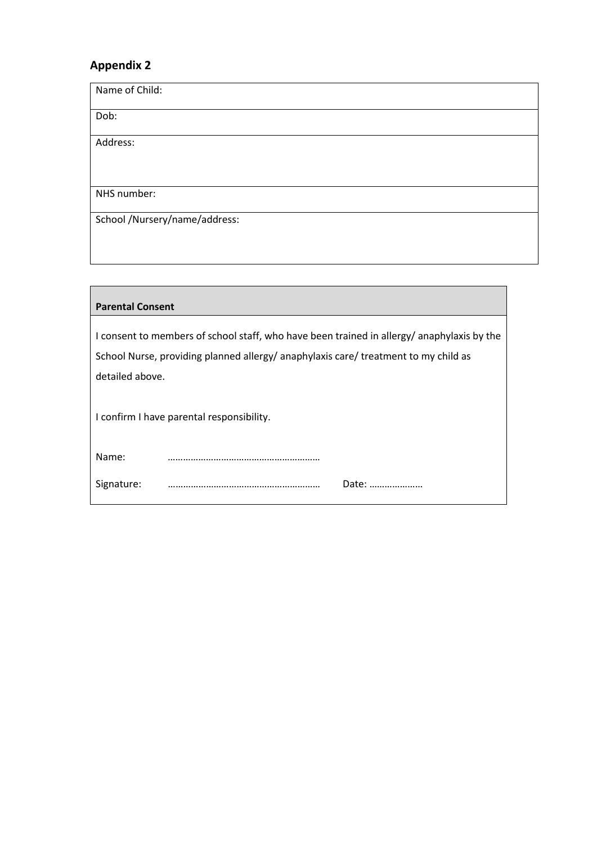| Name of Child:                |
|-------------------------------|
| Dob:                          |
| Address:                      |
| NHS number:                   |
| School /Nursery/name/address: |

| <b>Parental Consent</b>                                                                                                                                                          |  |  |
|----------------------------------------------------------------------------------------------------------------------------------------------------------------------------------|--|--|
| I consent to members of school staff, who have been trained in allergy/anaphylaxis by the<br>School Nurse, providing planned allergy/ anaphylaxis care/ treatment to my child as |  |  |
| detailed above.<br>I confirm I have parental responsibility.                                                                                                                     |  |  |
| Name:                                                                                                                                                                            |  |  |
| Signature:<br>Date:                                                                                                                                                              |  |  |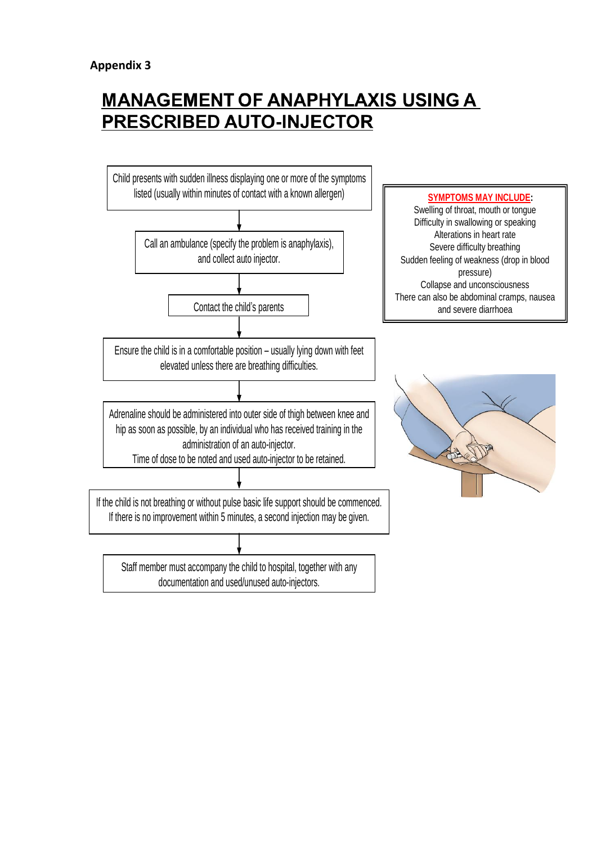# **MANAGEMENT OF ANAPHYLAXIS USING A** PRESCRIBED AUTO-INJECTOR

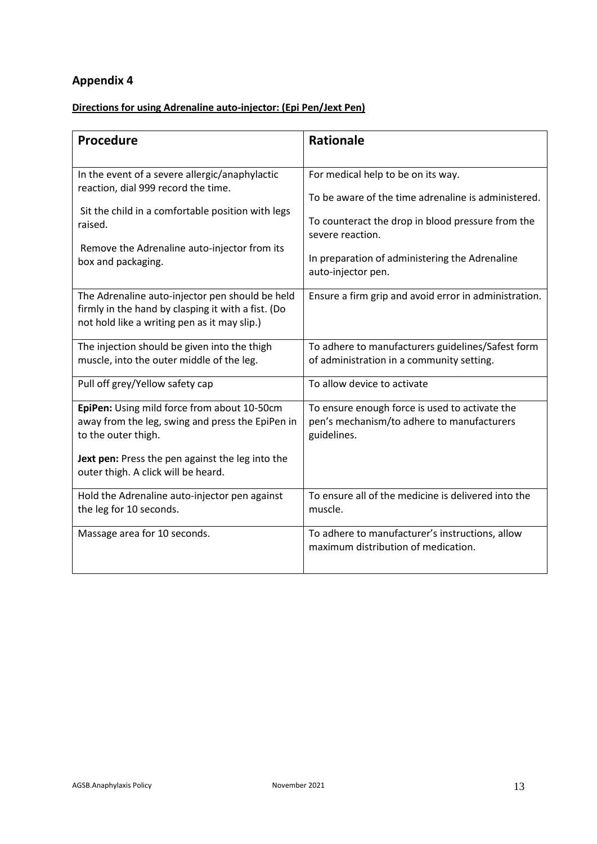## **Directions for using Adrenaline auto-injector: (Epi Pen/Jext Pen)**

| Procedure                                                                                                                                                                                                                   | <b>Rationale</b>                                                                                                                                                                                                     |
|-----------------------------------------------------------------------------------------------------------------------------------------------------------------------------------------------------------------------------|----------------------------------------------------------------------------------------------------------------------------------------------------------------------------------------------------------------------|
| In the event of a severe allergic/anaphylactic<br>reaction, dial 999 record the time.<br>Sit the child in a comfortable position with legs<br>raised.<br>Remove the Adrenaline auto-injector from its<br>box and packaging. | For medical help to be on its way.<br>To be aware of the time adrenaline is administered.<br>To counteract the drop in blood pressure from the<br>severe reaction.<br>In preparation of administering the Adrenaline |
| The Adrenaline auto-injector pen should be held<br>firmly in the hand by clasping it with a fist. (Do<br>not hold like a writing pen as it may slip.)                                                                       | auto-injector pen.<br>Ensure a firm grip and avoid error in administration.                                                                                                                                          |
| The injection should be given into the thigh<br>muscle, into the outer middle of the leg.                                                                                                                                   | To adhere to manufacturers guidelines/Safest form<br>of administration in a community setting.                                                                                                                       |
| Pull off grey/Yellow safety cap                                                                                                                                                                                             | To allow device to activate                                                                                                                                                                                          |
| EpiPen: Using mild force from about 10-50cm<br>away from the leg, swing and press the EpiPen in<br>to the outer thigh.<br>Jext pen: Press the pen against the leg into the<br>outer thigh. A click will be heard.           | To ensure enough force is used to activate the<br>pen's mechanism/to adhere to manufacturers<br>guidelines.                                                                                                          |
| Hold the Adrenaline auto-injector pen against<br>the leg for 10 seconds.                                                                                                                                                    | To ensure all of the medicine is delivered into the<br>muscle.                                                                                                                                                       |
| Massage area for 10 seconds.                                                                                                                                                                                                | To adhere to manufacturer's instructions, allow<br>maximum distribution of medication.                                                                                                                               |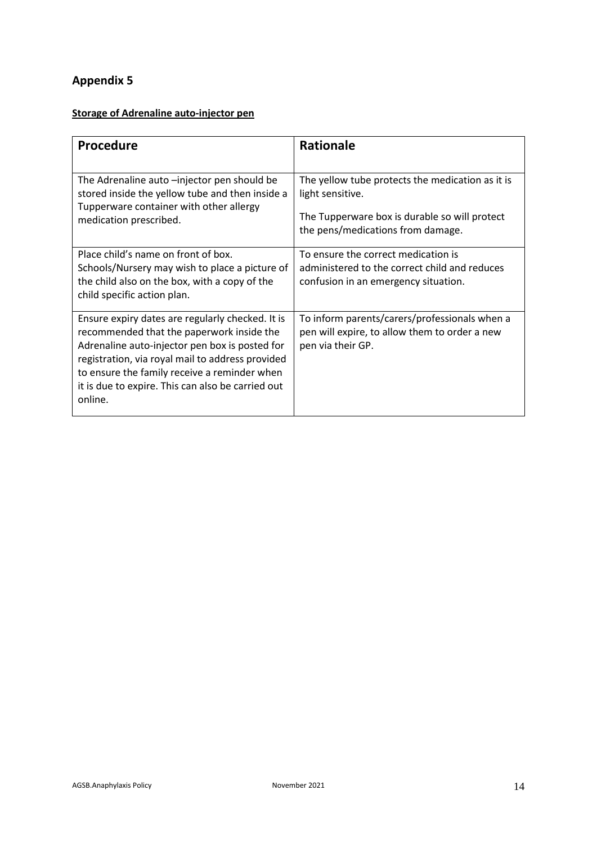## **Storage of Adrenaline auto-injector pen**

| <b>Procedure</b>                                                                                                                                                                                                                                                                                                    | <b>Rationale</b>                                                                                                                                           |
|---------------------------------------------------------------------------------------------------------------------------------------------------------------------------------------------------------------------------------------------------------------------------------------------------------------------|------------------------------------------------------------------------------------------------------------------------------------------------------------|
| The Adrenaline auto -injector pen should be<br>stored inside the yellow tube and then inside a<br>Tupperware container with other allergy<br>medication prescribed.                                                                                                                                                 | The yellow tube protects the medication as it is<br>light sensitive.<br>The Tupperware box is durable so will protect<br>the pens/medications from damage. |
| Place child's name on front of box.<br>Schools/Nursery may wish to place a picture of<br>the child also on the box, with a copy of the<br>child specific action plan.                                                                                                                                               | To ensure the correct medication is<br>administered to the correct child and reduces<br>confusion in an emergency situation.                               |
| Ensure expiry dates are regularly checked. It is<br>recommended that the paperwork inside the<br>Adrenaline auto-injector pen box is posted for<br>registration, via royal mail to address provided<br>to ensure the family receive a reminder when<br>it is due to expire. This can also be carried out<br>online. | To inform parents/carers/professionals when a<br>pen will expire, to allow them to order a new<br>pen via their GP.                                        |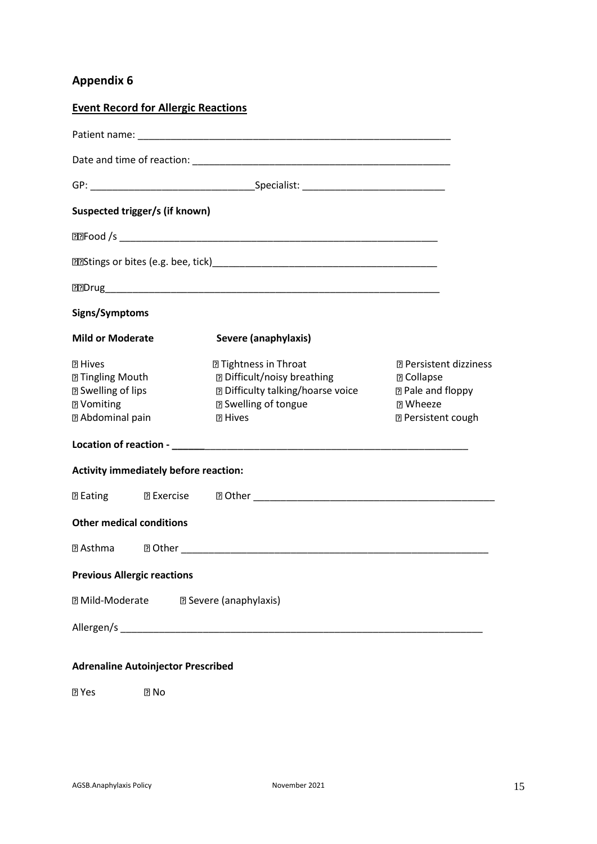| <b>Event Record for Allergic Reactions</b>                                                                                    |                                                                                                                                                                 |                                                                                                                                 |
|-------------------------------------------------------------------------------------------------------------------------------|-----------------------------------------------------------------------------------------------------------------------------------------------------------------|---------------------------------------------------------------------------------------------------------------------------------|
|                                                                                                                               |                                                                                                                                                                 |                                                                                                                                 |
|                                                                                                                               |                                                                                                                                                                 |                                                                                                                                 |
|                                                                                                                               |                                                                                                                                                                 |                                                                                                                                 |
| Suspected trigger/s (if known)                                                                                                |                                                                                                                                                                 |                                                                                                                                 |
|                                                                                                                               |                                                                                                                                                                 |                                                                                                                                 |
|                                                                                                                               |                                                                                                                                                                 |                                                                                                                                 |
|                                                                                                                               |                                                                                                                                                                 |                                                                                                                                 |
| Signs/Symptoms                                                                                                                |                                                                                                                                                                 |                                                                                                                                 |
| <b>Mild or Moderate</b>                                                                                                       | Severe (anaphylaxis)                                                                                                                                            |                                                                                                                                 |
| <b>7 Hives</b><br><b>2 Tingling Mouth</b><br><b><b>2 Swelling of lips</b></b><br><b>7</b> Vomiting<br><b>2 Abdominal pain</b> | <b>2 Tightness in Throat</b><br><b>2 Difficult/noisy breathing</b><br><b>2 Difficulty talking/hoarse voice</b><br><b>2 Swelling of tongue</b><br><b>图 Hives</b> | <b>2 Persistent dizziness</b><br><b>2 Collapse</b><br><b>2 Pale and floppy</b><br><b>73 Wheeze</b><br><b>2 Persistent cough</b> |
|                                                                                                                               |                                                                                                                                                                 |                                                                                                                                 |
| <b>Activity immediately before reaction:</b>                                                                                  |                                                                                                                                                                 |                                                                                                                                 |
|                                                                                                                               |                                                                                                                                                                 |                                                                                                                                 |
| <b>Other medical conditions</b>                                                                                               |                                                                                                                                                                 |                                                                                                                                 |
| <b>2 Asthma</b> 2 Other                                                                                                       |                                                                                                                                                                 |                                                                                                                                 |
| <b>Previous Allergic reactions</b>                                                                                            |                                                                                                                                                                 |                                                                                                                                 |
| <b>7 Mild-Moderate</b>                                                                                                        | <b>E</b> Severe (anaphylaxis)                                                                                                                                   |                                                                                                                                 |
|                                                                                                                               |                                                                                                                                                                 |                                                                                                                                 |
|                                                                                                                               |                                                                                                                                                                 |                                                                                                                                 |

## **Adrenaline Autoinjector Prescribed**

**Z** Yes **Z** No